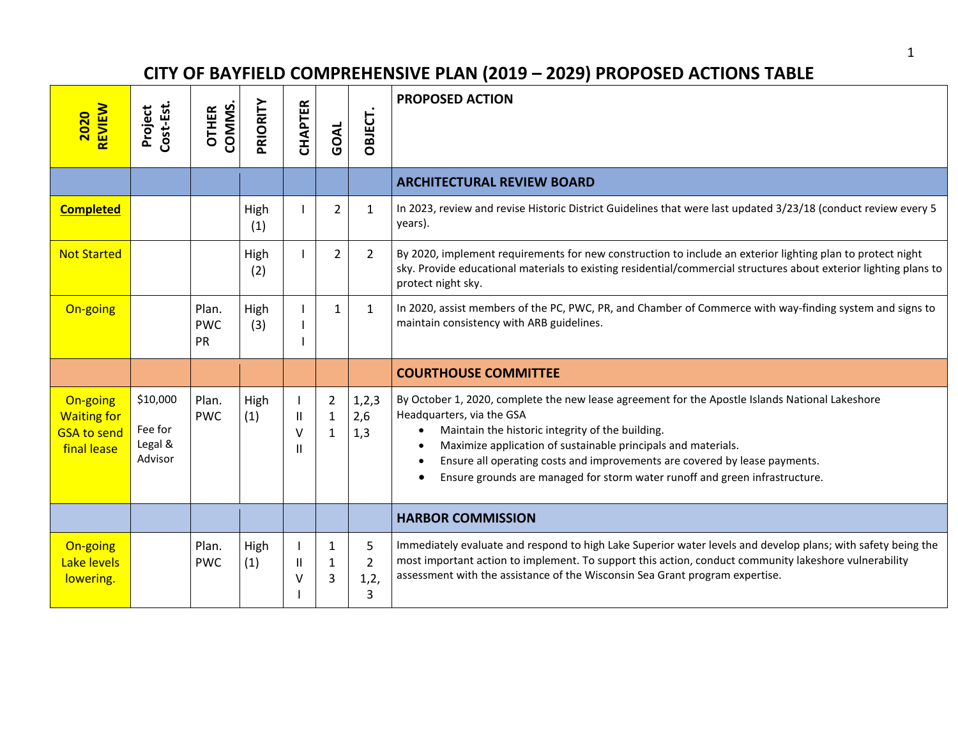## **CITY OF BAYFIELD COMPREHENSIVE PLAN (2019 – 2029) PROPOSED ACTIONS TABLE**

| REVIEW<br><b>2020</b>                                               | Cost-Est<br>Project                       | <b>COMMS</b><br><b>OTHER</b> | PRIORITY    | CHAPTER          | GOAL                                           | OBJECT.                          | <b>PROPOSED ACTION</b>                                                                                                                                                                                                                                                                                                                                                                                         |
|---------------------------------------------------------------------|-------------------------------------------|------------------------------|-------------|------------------|------------------------------------------------|----------------------------------|----------------------------------------------------------------------------------------------------------------------------------------------------------------------------------------------------------------------------------------------------------------------------------------------------------------------------------------------------------------------------------------------------------------|
|                                                                     |                                           |                              |             |                  |                                                |                                  | <b>ARCHITECTURAL REVIEW BOARD</b>                                                                                                                                                                                                                                                                                                                                                                              |
| <b>Completed</b>                                                    |                                           |                              | High<br>(1) |                  | $\overline{2}$                                 | $\mathbf{1}$                     | In 2023, review and revise Historic District Guidelines that were last updated 3/23/18 (conduct review every 5<br>years).                                                                                                                                                                                                                                                                                      |
| <b>Not Started</b>                                                  |                                           |                              | High<br>(2) |                  | $\overline{2}$                                 | $\overline{2}$                   | By 2020, implement requirements for new construction to include an exterior lighting plan to protect night<br>sky. Provide educational materials to existing residential/commercial structures about exterior lighting plans to<br>protect night sky.                                                                                                                                                          |
| On-going                                                            |                                           | Plan.<br><b>PWC</b><br>PR    | High<br>(3) |                  | $\mathbf{1}$                                   | $\mathbf{1}$                     | In 2020, assist members of the PC, PWC, PR, and Chamber of Commerce with way-finding system and signs to<br>maintain consistency with ARB guidelines.                                                                                                                                                                                                                                                          |
|                                                                     |                                           |                              |             |                  |                                                |                                  | <b>COURTHOUSE COMMITTEE</b>                                                                                                                                                                                                                                                                                                                                                                                    |
| On-going<br><b>Waiting for</b><br><b>GSA to send</b><br>final lease | \$10,000<br>Fee for<br>Legal &<br>Advisor | Plan.<br><b>PWC</b>          | High<br>(1) | Ш<br>$\vee$<br>Ш | $\overline{2}$<br>$\mathbf{1}$<br>$\mathbf{1}$ | 1,2,3<br>2,6<br>1,3              | By October 1, 2020, complete the new lease agreement for the Apostle Islands National Lakeshore<br>Headquarters, via the GSA<br>Maintain the historic integrity of the building.<br>Maximize application of sustainable principals and materials.<br>Ensure all operating costs and improvements are covered by lease payments.<br>Ensure grounds are managed for storm water runoff and green infrastructure. |
|                                                                     |                                           |                              |             |                  |                                                |                                  | <b>HARBOR COMMISSION</b>                                                                                                                                                                                                                                                                                                                                                                                       |
| On-going<br>Lake levels<br>lowering.                                |                                           | Plan.<br><b>PWC</b>          | High<br>(1) | Ш<br>v           | 1<br>1<br>3                                    | 5<br>$\overline{2}$<br>1,2,<br>3 | Immediately evaluate and respond to high Lake Superior water levels and develop plans; with safety being the<br>most important action to implement. To support this action, conduct community lakeshore vulnerability<br>assessment with the assistance of the Wisconsin Sea Grant program expertise.                                                                                                          |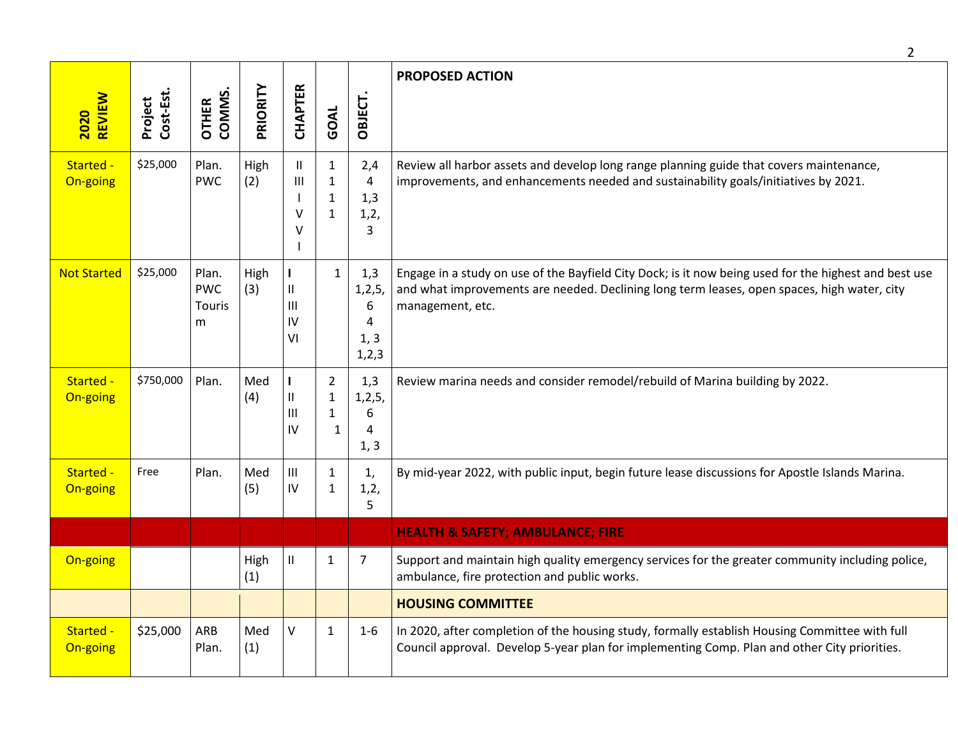|                              |                      |                                           |             |                                                                                       |                                                   |                                              | $\overline{2}$                                                                                                                                                                                                           |
|------------------------------|----------------------|-------------------------------------------|-------------|---------------------------------------------------------------------------------------|---------------------------------------------------|----------------------------------------------|--------------------------------------------------------------------------------------------------------------------------------------------------------------------------------------------------------------------------|
| <b>REVIEW</b><br><b>2020</b> | Project<br>Cost-Est. | COMMS.<br><b>OTHER</b>                    | PRIORITY    | <b>CHAPTER</b>                                                                        | GOAL                                              | OBJECT.                                      | <b>PROPOSED ACTION</b>                                                                                                                                                                                                   |
| Started -<br>On-going        | \$25,000             | Plan.<br><b>PWC</b>                       | High<br>(2) | $\mathbf{II}$<br>$\mathbf{III}$<br>٧<br>٧                                             | $\mathbf{1}$<br>$\mathbf{1}$<br>$\mathbf{1}$<br>1 | 2,4<br>4<br>1,3<br>1, 2,<br>3                | Review all harbor assets and develop long range planning guide that covers maintenance,<br>improvements, and enhancements needed and sustainability goals/initiatives by 2021.                                           |
| <b>Not Started</b>           | \$25,000             | Plan.<br><b>PWC</b><br><b>Touris</b><br>m | High<br>(3) | $\mathbf{I}$<br>$\ensuremath{\mathsf{II}}$<br>$\mathop{\rm III}\nolimits$<br>IV<br>VI | $\mathbf{1}$                                      | 1,3<br>1, 2, 5,<br>6<br>4<br>1, 3<br>1, 2, 3 | Engage in a study on use of the Bayfield City Dock; is it now being used for the highest and best use<br>and what improvements are needed. Declining long term leases, open spaces, high water, city<br>management, etc. |
| Started -<br>On-going        | \$750,000            | Plan.                                     | Med<br>(4)  | $\mathbf{I}$<br>$\ensuremath{\mathsf{II}}$<br>$\mathbf{III}$<br>IV                    | $\overline{2}$<br>1<br>1<br>$\mathbf{1}$          | 1,3<br>1, 2, 5,<br>6<br>4<br>1, 3            | Review marina needs and consider remodel/rebuild of Marina building by 2022.                                                                                                                                             |
| Started -<br>On-going        | Free                 | Plan.                                     | Med<br>(5)  | $\ensuremath{\mathsf{III}}\xspace$<br>IV                                              | 1<br>1                                            | 1,<br>1,2,<br>5                              | By mid-year 2022, with public input, begin future lease discussions for Apostle Islands Marina.                                                                                                                          |
|                              |                      |                                           |             |                                                                                       |                                                   |                                              | <b>HEALTH &amp; SAFETY; AMBULANCE; FIRE</b>                                                                                                                                                                              |
| On-going                     |                      |                                           | High<br>(1) | Ш                                                                                     | 1                                                 | 7                                            | Support and maintain high quality emergency services for the greater community including police,<br>ambulance, fire protection and public works.                                                                         |
|                              |                      |                                           |             |                                                                                       |                                                   |                                              | <b>HOUSING COMMITTEE</b>                                                                                                                                                                                                 |
| Started -<br>On-going        | \$25,000             | ARB<br>Plan.                              | Med<br>(1)  | $\vee$                                                                                | $\mathbf{1}$                                      | $1-6$                                        | In 2020, after completion of the housing study, formally establish Housing Committee with full<br>Council approval. Develop 5-year plan for implementing Comp. Plan and other City priorities.                           |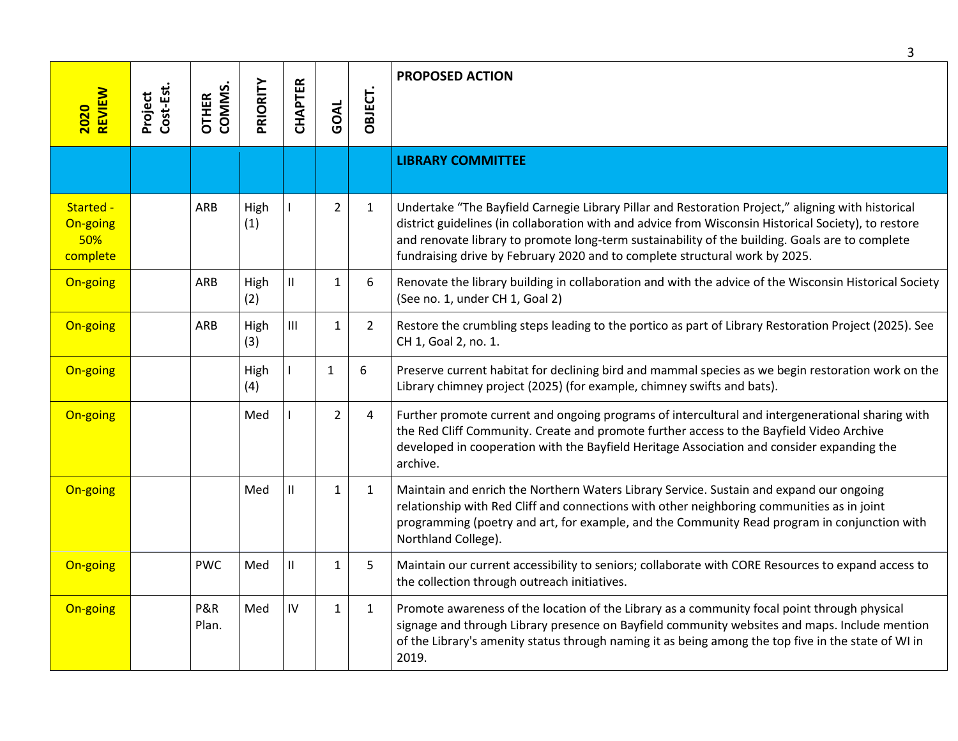| REVIEW<br>2020                           | Cost-Est.<br>Project | COMMS.<br><b>OTHER</b> | PRIORITY    | CHAPTER                            | GOAL           | OBJECT.        | <b>PROPOSED ACTION</b>                                                                                                                                                                                                                                                                                                                                                                       |
|------------------------------------------|----------------------|------------------------|-------------|------------------------------------|----------------|----------------|----------------------------------------------------------------------------------------------------------------------------------------------------------------------------------------------------------------------------------------------------------------------------------------------------------------------------------------------------------------------------------------------|
|                                          |                      |                        |             |                                    |                |                | <b>LIBRARY COMMITTEE</b>                                                                                                                                                                                                                                                                                                                                                                     |
| Started -<br>On-going<br>50%<br>complete |                      | <b>ARB</b>             | High<br>(1) |                                    | $\overline{2}$ | $\mathbf{1}$   | Undertake "The Bayfield Carnegie Library Pillar and Restoration Project," aligning with historical<br>district guidelines (in collaboration with and advice from Wisconsin Historical Society), to restore<br>and renovate library to promote long-term sustainability of the building. Goals are to complete<br>fundraising drive by February 2020 and to complete structural work by 2025. |
| On-going                                 |                      | ARB                    | High<br>(2) | $\ensuremath{\mathsf{II}}$         | $\mathbf{1}$   | 6              | Renovate the library building in collaboration and with the advice of the Wisconsin Historical Society<br>(See no. 1, under CH 1, Goal 2)                                                                                                                                                                                                                                                    |
| On-going                                 |                      | ARB                    | High<br>(3) | $\ensuremath{\mathsf{III}}\xspace$ | 1              | $\overline{2}$ | Restore the crumbling steps leading to the portico as part of Library Restoration Project (2025). See<br>CH 1, Goal 2, no. 1.                                                                                                                                                                                                                                                                |
| On-going                                 |                      |                        | High<br>(4) |                                    | 1              | 6              | Preserve current habitat for declining bird and mammal species as we begin restoration work on the<br>Library chimney project (2025) (for example, chimney swifts and bats).                                                                                                                                                                                                                 |
| On-going                                 |                      |                        | Med         |                                    | $\overline{2}$ | 4              | Further promote current and ongoing programs of intercultural and intergenerational sharing with<br>the Red Cliff Community. Create and promote further access to the Bayfield Video Archive<br>developed in cooperation with the Bayfield Heritage Association and consider expanding the<br>archive.                                                                                       |
| On-going                                 |                      |                        | Med         | $\mathbf{II}$                      | $\mathbf{1}$   | $\mathbf{1}$   | Maintain and enrich the Northern Waters Library Service. Sustain and expand our ongoing<br>relationship with Red Cliff and connections with other neighboring communities as in joint<br>programming (poetry and art, for example, and the Community Read program in conjunction with<br>Northland College).                                                                                 |
| On-going                                 |                      | <b>PWC</b>             | Med         | $\mathbf{H}$                       | $\mathbf{1}$   | 5              | Maintain our current accessibility to seniors; collaborate with CORE Resources to expand access to<br>the collection through outreach initiatives.                                                                                                                                                                                                                                           |
| On-going                                 |                      | P&R<br>Plan.           | Med         | IV                                 | $\mathbf{1}$   | $\mathbf{1}$   | Promote awareness of the location of the Library as a community focal point through physical<br>signage and through Library presence on Bayfield community websites and maps. Include mention<br>of the Library's amenity status through naming it as being among the top five in the state of WI in<br>2019.                                                                                |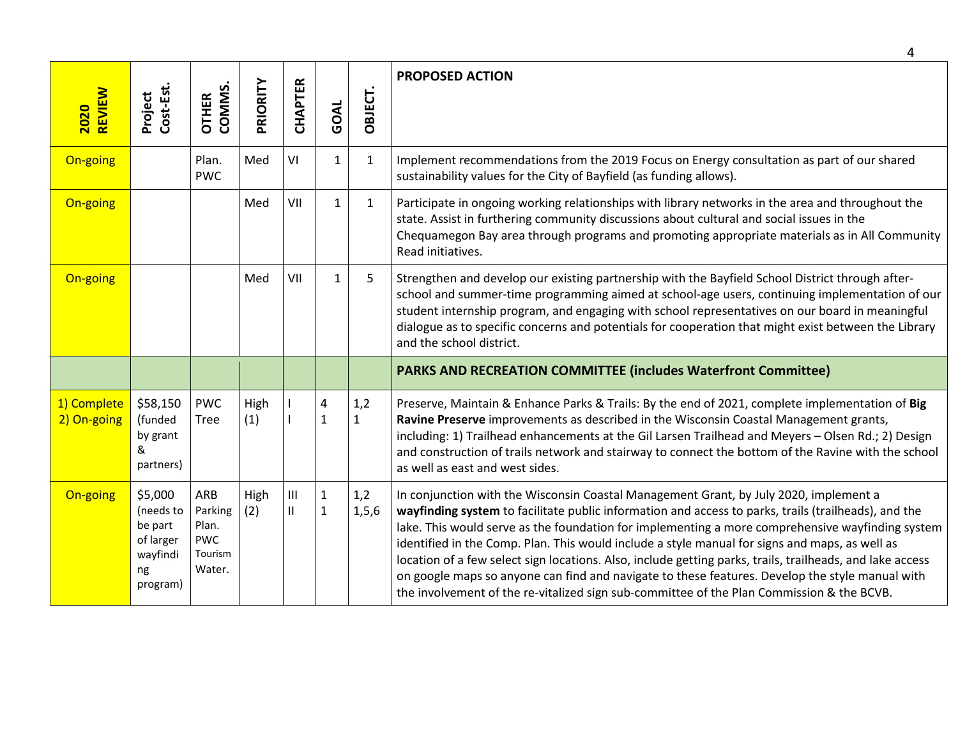|                            |                                                                            |                                                            |             |                                 |                              |                     | 4                                                                                                                                                                                                                                                                                                                                                                                                                                                                                                                                                                                                                                                                                                                |
|----------------------------|----------------------------------------------------------------------------|------------------------------------------------------------|-------------|---------------------------------|------------------------------|---------------------|------------------------------------------------------------------------------------------------------------------------------------------------------------------------------------------------------------------------------------------------------------------------------------------------------------------------------------------------------------------------------------------------------------------------------------------------------------------------------------------------------------------------------------------------------------------------------------------------------------------------------------------------------------------------------------------------------------------|
| REVIEW<br>2020             | Cost-Est.<br>Project                                                       | COMMS.<br><b>OTHER</b>                                     | PRIORITY    | CHAPTER                         | GOAL                         | OBJECT.             | <b>PROPOSED ACTION</b>                                                                                                                                                                                                                                                                                                                                                                                                                                                                                                                                                                                                                                                                                           |
| On-going                   |                                                                            | Plan.<br><b>PWC</b>                                        | Med         | VI                              | $\mathbf{1}$                 | $\mathbf{1}$        | Implement recommendations from the 2019 Focus on Energy consultation as part of our shared<br>sustainability values for the City of Bayfield (as funding allows).                                                                                                                                                                                                                                                                                                                                                                                                                                                                                                                                                |
| On-going                   |                                                                            |                                                            | Med         | VII                             | $\mathbf{1}$                 | $\mathbf{1}$        | Participate in ongoing working relationships with library networks in the area and throughout the<br>state. Assist in furthering community discussions about cultural and social issues in the<br>Chequamegon Bay area through programs and promoting appropriate materials as in All Community<br>Read initiatives.                                                                                                                                                                                                                                                                                                                                                                                             |
| On-going                   |                                                                            |                                                            | Med         | VII                             | $\mathbf{1}$                 | 5                   | Strengthen and develop our existing partnership with the Bayfield School District through after-<br>school and summer-time programming aimed at school-age users, continuing implementation of our<br>student internship program, and engaging with school representatives on our board in meaningful<br>dialogue as to specific concerns and potentials for cooperation that might exist between the Library<br>and the school district.                                                                                                                                                                                                                                                                        |
|                            |                                                                            |                                                            |             |                                 |                              |                     | <b>PARKS AND RECREATION COMMITTEE (includes Waterfront Committee)</b>                                                                                                                                                                                                                                                                                                                                                                                                                                                                                                                                                                                                                                            |
| 1) Complete<br>2) On-going | \$58,150<br>(funded<br>by grant<br>&<br>partners)                          | <b>PWC</b><br>Tree                                         | High<br>(1) |                                 | 4<br>$\mathbf{1}$            | 1,2<br>$\mathbf{1}$ | Preserve, Maintain & Enhance Parks & Trails: By the end of 2021, complete implementation of Big<br>Ravine Preserve improvements as described in the Wisconsin Coastal Management grants,<br>including: 1) Trailhead enhancements at the Gil Larsen Trailhead and Meyers - Olsen Rd.; 2) Design<br>and construction of trails network and stairway to connect the bottom of the Ravine with the school<br>as well as east and west sides.                                                                                                                                                                                                                                                                         |
| On-going                   | \$5,000<br>(needs to<br>be part<br>of larger<br>wayfindi<br>ng<br>program) | ARB<br>Parking<br>Plan.<br><b>PWC</b><br>Tourism<br>Water. | High<br>(2) | $\mathsf{III}$<br>$\mathsf{II}$ | $\mathbf{1}$<br>$\mathbf{1}$ | 1,2<br>1,5,6        | In conjunction with the Wisconsin Coastal Management Grant, by July 2020, implement a<br>wayfinding system to facilitate public information and access to parks, trails (trailheads), and the<br>lake. This would serve as the foundation for implementing a more comprehensive wayfinding system<br>identified in the Comp. Plan. This would include a style manual for signs and maps, as well as<br>location of a few select sign locations. Also, include getting parks, trails, trailheads, and lake access<br>on google maps so anyone can find and navigate to these features. Develop the style manual with<br>the involvement of the re-vitalized sign sub-committee of the Plan Commission & the BCVB. |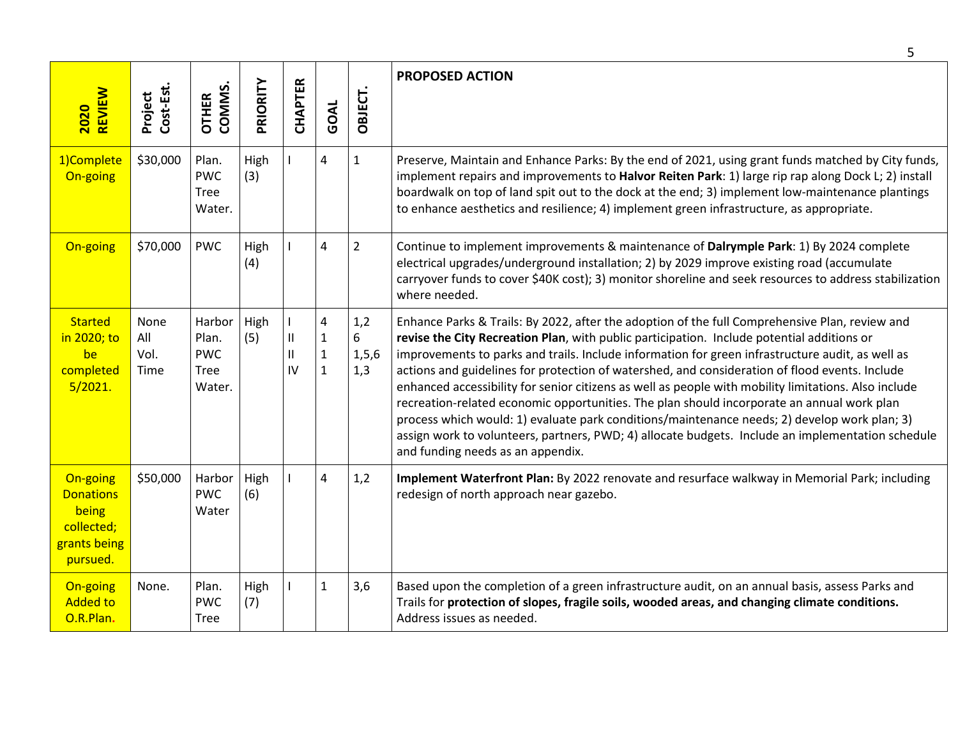|                                                                                 |                             |                                                        |             |                                     |                                                   |                            | 5                                                                                                                                                                                                                                                                                                                                                                                                                                                                                                                                                                                                                                                                                                                                                                                                                                                  |
|---------------------------------------------------------------------------------|-----------------------------|--------------------------------------------------------|-------------|-------------------------------------|---------------------------------------------------|----------------------------|----------------------------------------------------------------------------------------------------------------------------------------------------------------------------------------------------------------------------------------------------------------------------------------------------------------------------------------------------------------------------------------------------------------------------------------------------------------------------------------------------------------------------------------------------------------------------------------------------------------------------------------------------------------------------------------------------------------------------------------------------------------------------------------------------------------------------------------------------|
| <b>REVIEW</b><br>2020                                                           | Cost-Est.<br>Project        | COMMS.<br><b>OTHER</b>                                 | PRIORITY    | <b>CHAPTER</b>                      | GOAL                                              | OBJECT.                    | <b>PROPOSED ACTION</b>                                                                                                                                                                                                                                                                                                                                                                                                                                                                                                                                                                                                                                                                                                                                                                                                                             |
| 1)Complete<br>On-going                                                          | \$30,000                    | Plan.<br><b>PWC</b><br><b>Tree</b><br>Water.           | High<br>(3) |                                     | 4                                                 | $\mathbf{1}$               | Preserve, Maintain and Enhance Parks: By the end of 2021, using grant funds matched by City funds,<br>implement repairs and improvements to Halvor Reiten Park: 1) large rip rap along Dock L; 2) install<br>boardwalk on top of land spit out to the dock at the end; 3) implement low-maintenance plantings<br>to enhance aesthetics and resilience; 4) implement green infrastructure, as appropriate.                                                                                                                                                                                                                                                                                                                                                                                                                                          |
| On-going                                                                        | \$70,000                    | <b>PWC</b>                                             | High<br>(4) |                                     | 4                                                 | $\overline{2}$             | Continue to implement improvements & maintenance of Dalrymple Park: 1) By 2024 complete<br>electrical upgrades/underground installation; 2) by 2029 improve existing road (accumulate<br>carryover funds to cover \$40K cost); 3) monitor shoreline and seek resources to address stabilization<br>where needed.                                                                                                                                                                                                                                                                                                                                                                                                                                                                                                                                   |
| <b>Started</b><br>in 2020; to<br>be<br>completed<br>5/2021.                     | None<br>All<br>Vol.<br>Time | Harbor<br>Plan.<br><b>PWC</b><br><b>Tree</b><br>Water. | High<br>(5) | $\mathsf{II}$<br>Ш<br>$\mathsf{IV}$ | 4<br>$\mathbf{1}$<br>$\mathbf{1}$<br>$\mathbf{1}$ | 1,2<br>6<br>1, 5, 6<br>1,3 | Enhance Parks & Trails: By 2022, after the adoption of the full Comprehensive Plan, review and<br>revise the City Recreation Plan, with public participation. Include potential additions or<br>improvements to parks and trails. Include information for green infrastructure audit, as well as<br>actions and guidelines for protection of watershed, and consideration of flood events. Include<br>enhanced accessibility for senior citizens as well as people with mobility limitations. Also include<br>recreation-related economic opportunities. The plan should incorporate an annual work plan<br>process which would: 1) evaluate park conditions/maintenance needs; 2) develop work plan; 3)<br>assign work to volunteers, partners, PWD; 4) allocate budgets. Include an implementation schedule<br>and funding needs as an appendix. |
| On-going<br><b>Donations</b><br>being<br>collected;<br>grants being<br>pursued. | \$50,000                    | Harbor<br><b>PWC</b><br>Water                          | High<br>(6) |                                     | 4                                                 | 1,2                        | Implement Waterfront Plan: By 2022 renovate and resurface walkway in Memorial Park; including<br>redesign of north approach near gazebo.                                                                                                                                                                                                                                                                                                                                                                                                                                                                                                                                                                                                                                                                                                           |
| On-going<br><b>Added to</b><br>O.R.Plan.                                        | None.                       | Plan.<br><b>PWC</b><br>Tree                            | High<br>(7) |                                     | $\mathbf{1}$                                      | 3,6                        | Based upon the completion of a green infrastructure audit, on an annual basis, assess Parks and<br>Trails for protection of slopes, fragile soils, wooded areas, and changing climate conditions.<br>Address issues as needed.                                                                                                                                                                                                                                                                                                                                                                                                                                                                                                                                                                                                                     |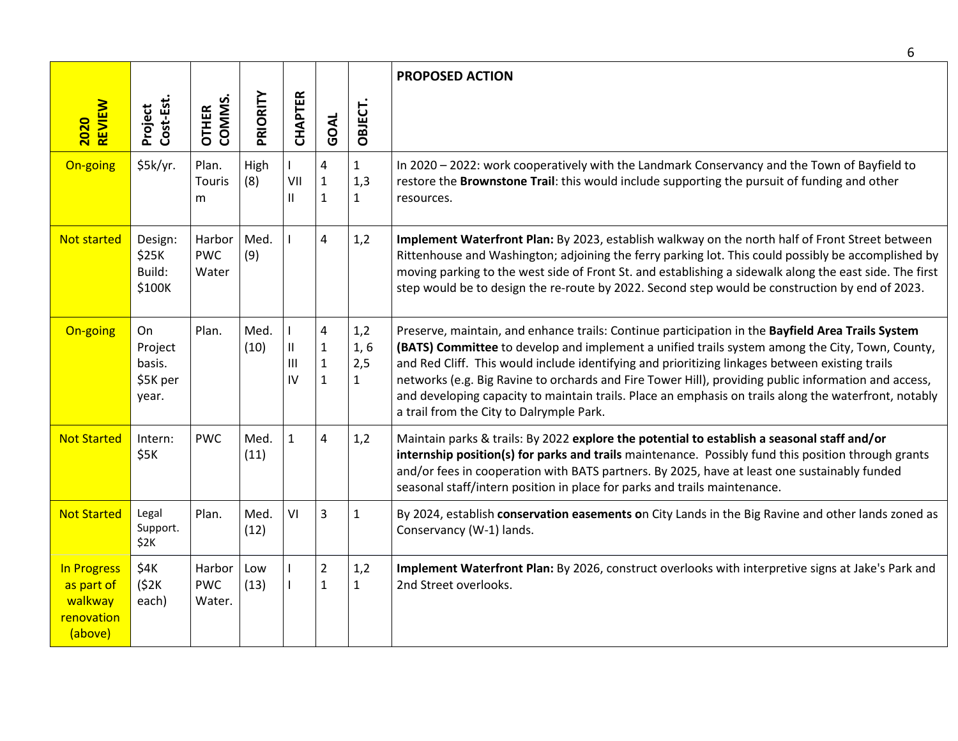|                                                                      |                                              |                                |              |                                       |                                                                        |                                     | 6                                                                                                                                                                                                                                                                                                                                                                                                                                                                                                                                                                    |
|----------------------------------------------------------------------|----------------------------------------------|--------------------------------|--------------|---------------------------------------|------------------------------------------------------------------------|-------------------------------------|----------------------------------------------------------------------------------------------------------------------------------------------------------------------------------------------------------------------------------------------------------------------------------------------------------------------------------------------------------------------------------------------------------------------------------------------------------------------------------------------------------------------------------------------------------------------|
| <b>REVIEW</b><br><b>2020</b>                                         | Cost-Est.<br>Project                         | COMMS.<br><b>OTHER</b>         | PRIORITY     | <b>CHAPTER</b>                        | GOAL                                                                   | OBJECT.                             | <b>PROPOSED ACTION</b>                                                                                                                                                                                                                                                                                                                                                                                                                                                                                                                                               |
| On-going                                                             | \$5k/yr.                                     | Plan.<br>Touris<br>m           | High<br>(8)  | VII<br>$\mathbf{H}$                   | 4<br>$\mathbf 1$<br>$\mathbf{1}$                                       | $\mathbf{1}$<br>1,3<br>$\mathbf{1}$ | In 2020 - 2022: work cooperatively with the Landmark Conservancy and the Town of Bayfield to<br>restore the Brownstone Trail: this would include supporting the pursuit of funding and other<br>resources.                                                                                                                                                                                                                                                                                                                                                           |
| <b>Not started</b>                                                   | Design:<br>\$25K<br>Build:<br>\$100K         | Harbor<br><b>PWC</b><br>Water  | Med.<br>(9)  |                                       | $\overline{4}$                                                         | 1,2                                 | Implement Waterfront Plan: By 2023, establish walkway on the north half of Front Street between<br>Rittenhouse and Washington; adjoining the ferry parking lot. This could possibly be accomplished by<br>moving parking to the west side of Front St. and establishing a sidewalk along the east side. The first<br>step would be to design the re-route by 2022. Second step would be construction by end of 2023.                                                                                                                                                 |
| On-going                                                             | On<br>Project<br>basis.<br>\$5K per<br>year. | Plan.                          | Med.<br>(10) | $\mathbf{II}$<br>$\mathbf{III}$<br>IV | $\overline{\mathbf{4}}$<br>$\mathbf{1}$<br>$\mathbf 1$<br>$\mathbf{1}$ | 1,2<br>1,6<br>2,5<br>$\mathbf{1}$   | Preserve, maintain, and enhance trails: Continue participation in the Bayfield Area Trails System<br>(BATS) Committee to develop and implement a unified trails system among the City, Town, County,<br>and Red Cliff. This would include identifying and prioritizing linkages between existing trails<br>networks (e.g. Big Ravine to orchards and Fire Tower Hill), providing public information and access,<br>and developing capacity to maintain trails. Place an emphasis on trails along the waterfront, notably<br>a trail from the City to Dalrymple Park. |
| <b>Not Started</b>                                                   | Intern:<br>\$5K                              | <b>PWC</b>                     | Med.<br>(11) | $\mathbf{1}$                          | $\overline{4}$                                                         | 1,2                                 | Maintain parks & trails: By 2022 explore the potential to establish a seasonal staff and/or<br>internship position(s) for parks and trails maintenance. Possibly fund this position through grants<br>and/or fees in cooperation with BATS partners. By 2025, have at least one sustainably funded<br>seasonal staff/intern position in place for parks and trails maintenance.                                                                                                                                                                                      |
| <b>Not Started</b>                                                   | Legal<br>Support.<br>\$2K                    | Plan.                          | Med.<br>(12) | VI                                    | $\overline{3}$                                                         | $\mathbf{1}$                        | By 2024, establish conservation easements on City Lands in the Big Ravine and other lands zoned as<br>Conservancy (W-1) lands.                                                                                                                                                                                                                                                                                                                                                                                                                                       |
| <b>In Progress</b><br>as part of<br>walkway<br>renovation<br>(above) | \$4K<br>(52K)<br>each)                       | Harbor<br><b>PWC</b><br>Water. | Low<br>(13)  | $\mathbf{I}$                          | $\overline{2}$<br>$\mathbf{1}$                                         | 1,2<br>$\mathbf{1}$                 | Implement Waterfront Plan: By 2026, construct overlooks with interpretive signs at Jake's Park and<br>2nd Street overlooks.                                                                                                                                                                                                                                                                                                                                                                                                                                          |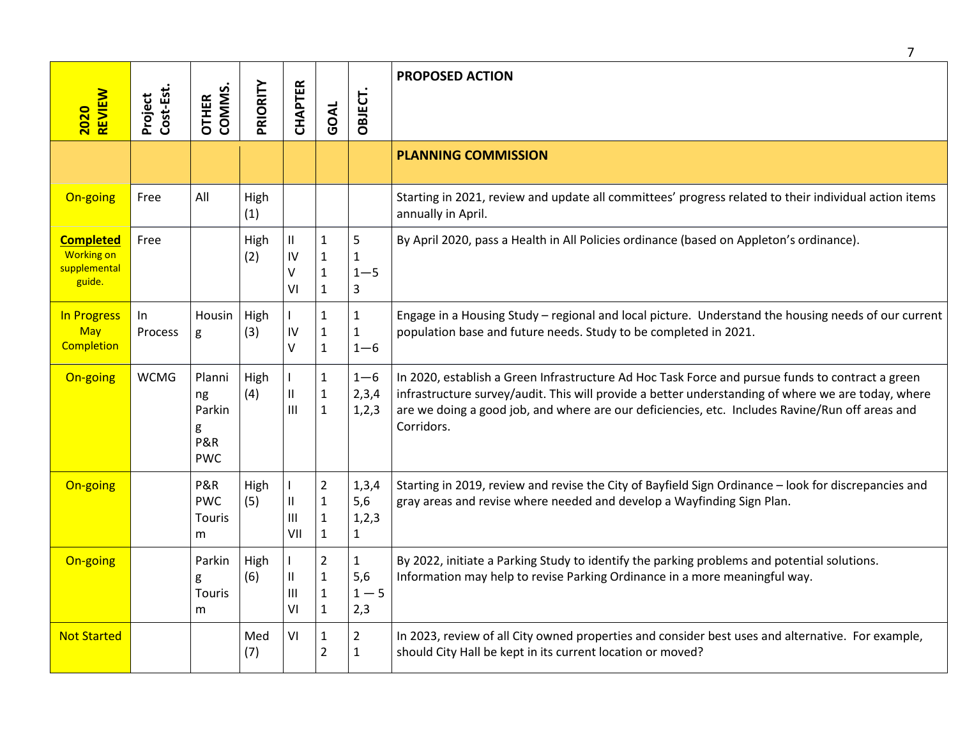|                                                                 |                      |                                                  |             |                                             |                                                                |                                       | 7                                                                                                                                                                                                                                                                                                                       |
|-----------------------------------------------------------------|----------------------|--------------------------------------------------|-------------|---------------------------------------------|----------------------------------------------------------------|---------------------------------------|-------------------------------------------------------------------------------------------------------------------------------------------------------------------------------------------------------------------------------------------------------------------------------------------------------------------------|
| REVIEW<br>2020                                                  | Project<br>Cost-Est. | OTHER<br>COMMS.                                  | PRIORITY    | CHAPTER                                     | GOAL                                                           | OBJECT.                               | <b>PROPOSED ACTION</b>                                                                                                                                                                                                                                                                                                  |
|                                                                 |                      |                                                  |             |                                             |                                                                |                                       | <b>PLANNING COMMISSION</b>                                                                                                                                                                                                                                                                                              |
| On-going                                                        | Free                 | All                                              | High<br>(1) |                                             |                                                                |                                       | Starting in 2021, review and update all committees' progress related to their individual action items<br>annually in April.                                                                                                                                                                                             |
| <b>Completed</b><br><b>Working on</b><br>supplemental<br>guide. | Free                 |                                                  | High<br>(2) | Ш<br>IV<br>V<br>VI                          | $\mathbf{1}$<br>$\mathbf{1}$<br>$\mathbf{1}$<br>$\mathbf{1}$   | 5<br>$\mathbf{1}$<br>$1 - 5$<br>3     | By April 2020, pass a Health in All Policies ordinance (based on Appleton's ordinance).                                                                                                                                                                                                                                 |
| In Progress<br>May<br><b>Completion</b>                         | In<br><b>Process</b> | Housin<br>g                                      | High<br>(3) | IV<br>V                                     | $\mathbf{1}$<br>$\mathbf{1}$<br>$\mathbf{1}$                   | $\mathbf{1}$<br>1<br>$1 - 6$          | Engage in a Housing Study - regional and local picture. Understand the housing needs of our current<br>population base and future needs. Study to be completed in 2021.                                                                                                                                                 |
| On-going                                                        | <b>WCMG</b>          | Planni<br>ng<br>Parkin<br>g<br>P&R<br><b>PWC</b> | High<br>(4) | L<br>$\ensuremath{\mathsf{II}}$<br>III      | $\mathbf{1}$<br>$\mathbf{1}$<br>$\mathbf{1}$                   | $1 - 6$<br>2,3,4<br>1,2,3             | In 2020, establish a Green Infrastructure Ad Hoc Task Force and pursue funds to contract a green<br>infrastructure survey/audit. This will provide a better understanding of where we are today, where<br>are we doing a good job, and where are our deficiencies, etc. Includes Ravine/Run off areas and<br>Corridors. |
| On-going                                                        |                      | P&R<br><b>PWC</b><br>Touris<br>m                 | High<br>(5) | L<br>$\ensuremath{\mathsf{II}}$<br>Ш<br>VII | $\overline{2}$<br>$\mathbf{1}$<br>$\mathbf{1}$<br>$\mathbf{1}$ | 1,3,4<br>5,6<br>1,2,3<br>$\mathbf{1}$ | Starting in 2019, review and revise the City of Bayfield Sign Ordinance - look for discrepancies and<br>gray areas and revise where needed and develop a Wayfinding Sign Plan.                                                                                                                                          |
| On-going                                                        |                      | Parkin<br>g<br>Touris<br>m                       | High<br>(6) | $\ensuremath{\mathsf{II}}$<br>Ш<br>VI       | $\overline{2}$<br>$\mathbf{1}$<br>$\mathbf 1$<br>$\mathbf{1}$  | $\mathbf{1}$<br>5,6<br>$1 - 5$<br>2,3 | By 2022, initiate a Parking Study to identify the parking problems and potential solutions.<br>Information may help to revise Parking Ordinance in a more meaningful way.                                                                                                                                               |
| <b>Not Started</b>                                              |                      |                                                  | Med<br>(7)  | VI                                          | $\mathbf{1}$<br>$\overline{2}$                                 | $\overline{2}$<br>1                   | In 2023, review of all City owned properties and consider best uses and alternative. For example,<br>should City Hall be kept in its current location or moved?                                                                                                                                                         |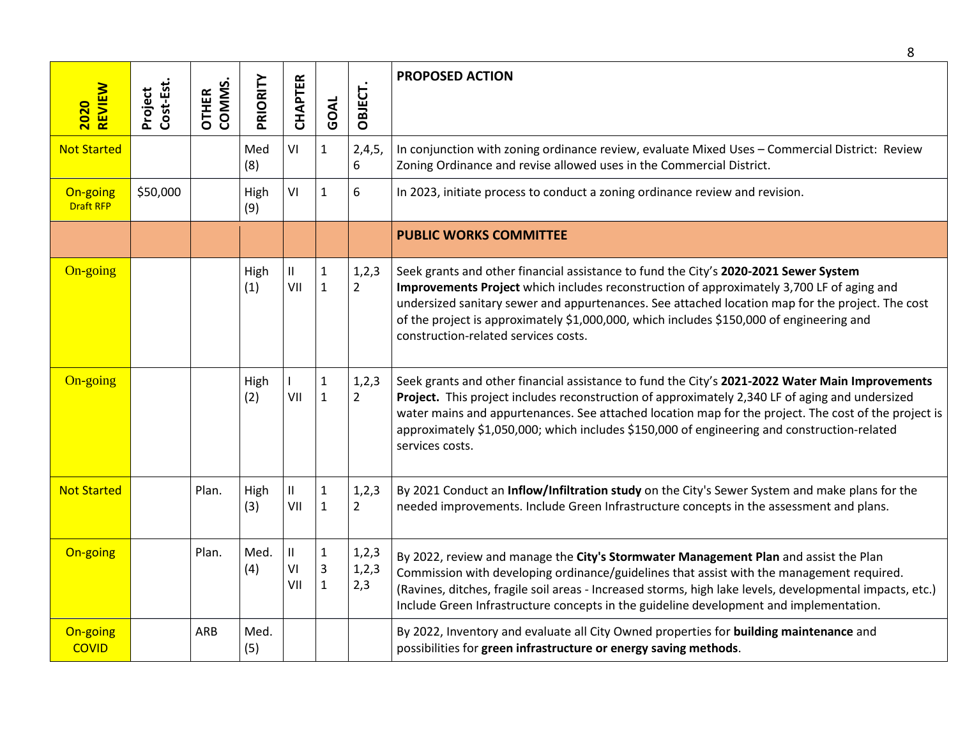|                              |                      |                 |             |                 |                                                |                         | 8                                                                                                                                                                                                                                                                                                                                                                                                                            |
|------------------------------|----------------------|-----------------|-------------|-----------------|------------------------------------------------|-------------------------|------------------------------------------------------------------------------------------------------------------------------------------------------------------------------------------------------------------------------------------------------------------------------------------------------------------------------------------------------------------------------------------------------------------------------|
| <b>REVIEW</b><br>2020        | Project<br>Cost-Est. | OTHER<br>COMMS. | PRIORITY    | <b>CHAPTER</b>  | GOAL                                           | OBJECT.                 | <b>PROPOSED ACTION</b>                                                                                                                                                                                                                                                                                                                                                                                                       |
| <b>Not Started</b>           |                      |                 | Med<br>(8)  | VI              | $\mathbf{1}$                                   | 2,4,5,<br>6             | In conjunction with zoning ordinance review, evaluate Mixed Uses - Commercial District: Review<br>Zoning Ordinance and revise allowed uses in the Commercial District.                                                                                                                                                                                                                                                       |
| On-going<br><b>Draft RFP</b> | \$50,000             |                 | High<br>(9) | VI              | $\mathbf{1}$                                   | 6                       | In 2023, initiate process to conduct a zoning ordinance review and revision.                                                                                                                                                                                                                                                                                                                                                 |
|                              |                      |                 |             |                 |                                                |                         | <b>PUBLIC WORKS COMMITTEE</b>                                                                                                                                                                                                                                                                                                                                                                                                |
| On-going                     |                      |                 | High<br>(1) | Ш<br>VII        | $\mathbf{1}$<br>$\mathbf{1}$                   | 1,2,3<br>$\overline{2}$ | Seek grants and other financial assistance to fund the City's 2020-2021 Sewer System<br>Improvements Project which includes reconstruction of approximately 3,700 LF of aging and<br>undersized sanitary sewer and appurtenances. See attached location map for the project. The cost<br>of the project is approximately \$1,000,000, which includes \$150,000 of engineering and<br>construction-related services costs.    |
| On-going                     |                      |                 | High<br>(2) | L<br>VII        | $\mathbf 1$<br>$\mathbf{1}$                    | 1,2,3<br>$\overline{2}$ | Seek grants and other financial assistance to fund the City's 2021-2022 Water Main Improvements<br>Project. This project includes reconstruction of approximately 2,340 LF of aging and undersized<br>water mains and appurtenances. See attached location map for the project. The cost of the project is<br>approximately \$1,050,000; which includes \$150,000 of engineering and construction-related<br>services costs. |
| <b>Not Started</b>           |                      | Plan.           | High<br>(3) | П.<br>VII       | $\mathbf 1$<br>$\mathbf{1}$                    | 1,2,3<br>$\overline{2}$ | By 2021 Conduct an Inflow/Infiltration study on the City's Sewer System and make plans for the<br>needed improvements. Include Green Infrastructure concepts in the assessment and plans.                                                                                                                                                                                                                                    |
| On-going                     |                      | Plan.           | Med.<br>(4) | Ш.<br>VI<br>VII | $\mathbf{1}$<br>$\overline{3}$<br>$\mathbf{1}$ | 1,2,3<br>1,2,3<br>2,3   | By 2022, review and manage the City's Stormwater Management Plan and assist the Plan<br>Commission with developing ordinance/guidelines that assist with the management required.<br>(Ravines, ditches, fragile soil areas - Increased storms, high lake levels, developmental impacts, etc.)<br>Include Green Infrastructure concepts in the guideline development and implementation.                                      |
| On-going<br><b>COVID</b>     |                      | ARB             | Med.<br>(5) |                 |                                                |                         | By 2022, Inventory and evaluate all City Owned properties for building maintenance and<br>possibilities for green infrastructure or energy saving methods.                                                                                                                                                                                                                                                                   |